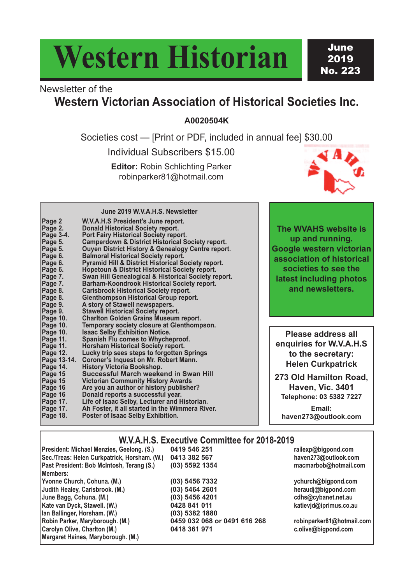# **Western Historian**

**June** 2019 No. 223

## Newsletter of the **Western Victorian Association of Historical Societies Inc.**

**A0020504K**

Societies cost — [Print or PDF, included in annual fee] \$30.00

Individual Subscribers \$15.00

**Editor:** Robin Schlichting Parker robinparker81@hotmail.com



**June 2019 W.V.A.H.S. Newsletter**

| Page 2<br>Page 2.    | W.V.A.H.S President's June report.<br><b>Donald Historical Society report.</b>                       |
|----------------------|------------------------------------------------------------------------------------------------------|
| Page 3-4.<br>Page 5. | Port Fairy Historical Society report.<br><b>Camperdown &amp; District Historical Society report.</b> |
| Page 5.              | <b>Ouyen District History &amp; Genealogy Centre report.</b>                                         |
| Page 6.              | <b>Balmoral Historical Society report.</b>                                                           |
| Page 6.              | <b>Pyramid Hill &amp; District Historical Society report.</b>                                        |
| Page 6.              | <b>Hopetoun &amp; District Historical Society report.</b>                                            |
| Page 7.              | Swan Hill Genealogical & Historical Society report.                                                  |
| Page 7.              | Barham-Koondrook Historical Society report.                                                          |
| Page 8.              | <b>Carisbrook Historical Society report.</b>                                                         |
| Page 8.              | <b>Glenthompson Historical Group report.</b>                                                         |
| Page 9.              | A story of Stawell newspapers.                                                                       |
| Page 9.              | <b>Stawell Historical Society report.</b>                                                            |
| Page 10.             | <b>Charlton Golden Grains Museum report.</b>                                                         |
| Page 10.             | Temporary society closure at Glenthompson.                                                           |
| Page 10.             | <b>Isaac Selby Exhibition Notice.</b>                                                                |
| Page 11.             | <b>Spanish Flu comes to Whycheproof.</b>                                                             |
| Page 11.             | <b>Horsham Historical Society report.</b>                                                            |
| Page 12.             | Lucky trip sees steps to forgotten Springs                                                           |
| Page 13-14.          | <b>Coroner's Inquest on Mr. Robert Mann.</b>                                                         |
| Page 14.             | <b>History Victoria Bookshop.</b>                                                                    |
| Page 15              | <b>Successful March weekend in Swan Hill</b>                                                         |
| Page 15              | <b>Victorian Community History Awards</b>                                                            |
| Page 16<br>Page 16   | Are you an author or history publisher?<br>Donald reports a successful year.                         |
| Page 17.             | Life of Isaac Selby, Lecturer and Historian.                                                         |
| Page 17.             | Ah Foster, it all started in the Wimmera River.                                                      |
| Page 18.             | Poster of Isaac Selby Exhibition.                                                                    |
|                      |                                                                                                      |

**The WVAHS website is up and running. Google western victorian association of historical societies to see the latest including photos and newsletters.**

**Please address all enquiries for W.V.A.H.S to the secretary: Helen Curkpatrick**

**273 Old Hamilton Road, Haven, Vic. 3401 Telephone: 03 5382 7227**

**Email: haven273@outlook.com**

#### **W.V.A.H.S. Executive Committee for 2018-2019**

| President: Michael Menzies, Geelong. (S.)    | 0419 546 251                 | railexp@bigpond.com       |
|----------------------------------------------|------------------------------|---------------------------|
| Sec./Treas: Helen Curkpatrick, Horsham. (W.) | 0413 382 567                 | haven273@outlook.com      |
| Past President: Bob McIntosh, Terang (S.)    | (03) 5592 1354               | macmarbob@hotmail.com     |
| Members:                                     |                              |                           |
| Yvonne Church, Cohuna. (M.)                  | $(03)$ 5456 7332             | ychurch@bigpond.com       |
| Judith Healey, Carisbrook. (M.)              | (03) 5464 2601               | heraudj@bigpond.com       |
| June Bagg, Cohuna. (M.)                      | (03) 5456 4201               | cdhs@cybanet.net.au       |
| Kate van Dyck, Stawell. (W.)                 | 0428 841 011                 | katievid@iprimus.co.au    |
| Ian Ballinger, Horsham. (W.)                 | (03) 5382 1880               |                           |
| Robin Parker, Maryborough. (M.)              | 0459 032 068 or 0491 616 268 | robinparker81@hotmail.com |
| Carolyn Olive, Charlton (M.)                 | 0418 361 971                 | c.olive@bigpond.com       |
| Margaret Haines, Maryborough. (M.)           |                              |                           |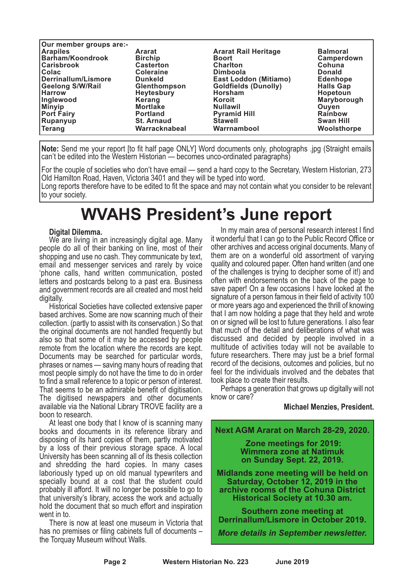| Our member groups are:- |                     |                              |                  |
|-------------------------|---------------------|------------------------------|------------------|
| <b>Arapiles</b>         | <b>Ararat</b>       | <b>Ararat Rail Heritage</b>  | <b>Balmoral</b>  |
| Barham/Koondrook        | <b>Birchip</b>      | <b>Boort</b>                 | Camperdown       |
| <b>Carisbrook</b>       | <b>Casterton</b>    | <b>Charlton</b>              | Cohuna           |
| <b>Colac</b>            | <b>Coleraine</b>    | <b>Dimboola</b>              | <b>Donald</b>    |
| Derrinallum/Lismore     | <b>Dunkeld</b>      | <b>East Loddon (Mitiamo)</b> | <b>Edenhope</b>  |
| <b>Geelong S/W/Rail</b> | <b>Glenthompson</b> | <b>Goldfields (Dunolly)</b>  | <b>Halls Gap</b> |
| <b>Harrow</b>           | <b>Heytesbury</b>   | Horsham                      | Hopetoun         |
| Inglewood               | Kerang              | Koroit                       | Maryborough      |
| <b>Minyip</b>           | <b>Mortlake</b>     | <b>Nullawil</b>              | Ouven            |
| <b>Port Fairy</b>       | <b>Portland</b>     | <b>Pyramid Hill</b>          | <b>Rainbow</b>   |
| Rupanyup                | <b>St. Arnaud</b>   | <b>Stawell</b>               | <b>Swan Hill</b> |
| <b>Terang</b>           | Warracknabeal       | Warrnambool                  | Woolsthorpe      |

**Note:** Send me your report [to fit half page ONLY] Word documents only, photographs .jpg (Straight emails can't be edited into the Western Historian — becomes unco-ordinated paragraphs)

For the couple of societies who don't have email — send a hard copy to the Secretary, Western Historian, 273 Old Hamilton Road, Haven, Victoria 3401 and they will be typed into word.

Long reports therefore have to be edited to fit the space and may not contain what you consider to be relevant to your society.

## **WVAHS President's June report**

**Digital Dilemma.** We are living in an increasingly digital age. Many people do all of their banking on line, most of their shopping and use no cash. They communicate by text, email and messenger services and rarely by voice 'phone calls, hand written communication, posted letters and postcards belong to a past era. Business and government records are all created and most held digitally. Historical Societies have collected extensive paper

based archives. Some are now scanning much of their collection. (partly to assist with its conservation.) So that the original documents are not handled frequently but also so that some of it may be accessed by people remote from the location where the records are kept. Documents may be searched for particular words, phrases or names — saving many hours of reading that most people simply do not have the time to do in order to find a small reference to a topic or person of interest. That seems to be an admirable benefit of digitisation. The digitised newspapers and other documents available via the National Library TROVE facility are a boon to research.

At least one body that I know of is scanning many books and documents in its reference library and disposing of its hard copies of them, partly motivated by a loss of their previous storage space. A local University has been scanning all of its thesis collection and shredding the hard copies. In many cases laboriously typed up on old manual typewriters and specially bound at a cost that the student could probably ill afford. It will no longer be possible to go to that university's library, access the work and actually hold the document that so much effort and inspiration went in to.

There is now at least one museum in Victoria that has no premises or filing cabinets full of documents – the Torquay Museum without Walls.

In my main area of personal research interest I find it wonderful that I can go to the Public Record Office or other archives and access original documents. Many of them are on a wonderful old assortment of varying quality and coloured paper. Often hand written (and one of the challenges is trying to decipher some of it!) and often with endorsements on the back of the page to save paper! On a few occasions I have looked at the signature of a person famous in their field of activity 100 or more years ago and experienced the thrill of knowing that I am now holding a page that they held and wrote on or signed will be lost to future generations. I also fear that much of the detail and deliberations of what was discussed and decided by people involved in a multitude of activities today will not be available to future researchers. There may just be a brief formal record of the decisions, outcomes and policies, but no feel for the individuals involved and the debates that took place to create their results.

Perhaps a generation that grows up digitally will not know or care?

#### **Michael Menzies, President.**



*More details in September newsletter.*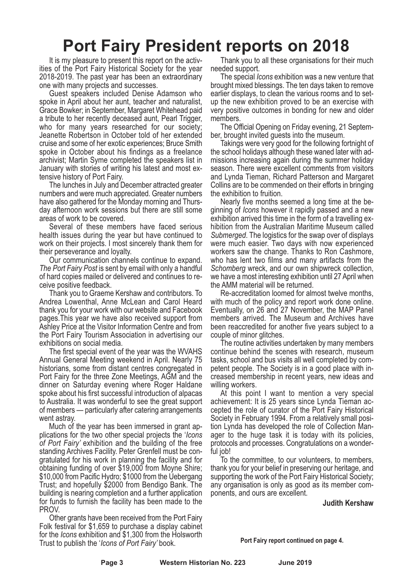## **Port Fairy President reports on 2018**

It is my pleasure to present this report on the activities of the Port Fairy Historical Society for the year 2018-2019. The past year has been an extraordinary one with many projects and successes.

Guest speakers included Denise Adamson who spoke in April about her aunt, teacher and naturalist, Grace Bowker; in September, Margaret Whitehead paid a tribute to her recently deceased aunt, Pearl Trigger, who for many years researched for our society; Jeanette Robertson in October told of her extended cruise and some of her exotic experiences; Bruce Smith spoke in October about his findings as a freelance archivist; Martin Syme completed the speakers list in January with stories of writing his latest and most extensive history of Port Fairy.

The lunches in July and December attracted greater numbers and were much appreciated. Greater numbers have also gathered for the Monday morning and Thursday afternoon work sessions but there are still some areas of work to be covered.

Several of these members have faced serious health issues during the year but have continued to work on their projects. I most sincerely thank them for their perseverance and loyalty.

Our communication channels continue to expand. *The Port Fairy Post* is sent by email with only a handful of hard copies mailed or delivered and continues to receive positive feedback.

Thank you to Graeme Kershaw and contributors. To Andrea Lowenthal, Anne McLean and Carol Heard thank you for your work with our website and Facebook pages.This year we have also received support from Ashley Price at the Visitor Information Centre and from the Port Fairy Tourism Association in advertising our exhibitions on social media.

The first special event of the year was the WVAHS Annual General Meeting weekend in April. Nearly 75 historians, some from distant centres congregated in Port Fairy for the three Zone Meetings, AGM and the dinner on Saturday evening where Roger Haldane spoke about his first successful introduction of alpacas to Australia. It was wonderful to see the great support of members — particularly after catering arrangements went astray.

Much of the year has been immersed in grant applications for the two other special projects the '*Icons of Port Fairy'* exhibition and the building of the free standing Archives Facility. Peter Grenfell must be congratulated for his work in planning the facility and for obtaining funding of over \$19,000 from Moyne Shire; \$10,000 from Pacific Hydro; \$1000 from the Uebergang Trust; and hopefully \$2000 from Bendigo Bank. The building is nearing completion and a further application for funds to furnish the facility has been made to the PROV.

Other grants have been received from the Port Fairy Folk festival for \$1,659 to purchase a display cabinet for the *Icons* exhibition and \$1,300 from the Holsworth Trust to publish the '*Icons of Port Fairy'* book.

Thank you to all these organisations for their much needed support.

The special *Icons* exhibition was a new venture that brought mixed blessings. The ten days taken to remove earlier displays, to clean the various rooms and to setup the new exhibition proved to be an exercise with very positive outcomes in bonding for new and older members.

The Official Opening on Friday evening, 21 September, brought invited guests into the museum.

Takings were very good for the following fortnight of missions increasing again during the summer holiday season. There were excellent comments from visitors and Lynda Tieman, Richard Patterson and Margaret Collins are to be commended on their efforts in bringing the exhibition to fruition.

Nearly five months seemed a long time at the be-<br>ginning of *Icons* however it rapidly passed and a new exhibition arrived this time in the form of <sup>a</sup> travelling ex- hibition from the Australian Maritime Museum called *Submerged*. The logistics for the swap over of displays were much easier. Two days with now experienced workers saw the change. Thanks to Ron Cashmore, who has lent two films and many artifacts from the *Schomberg* wreck, and our own shipwreck collection, we have a most interesting exhibition until 27 April when the AMM material will be returned.

Re-accreditation loomed for almost twelve months, with much of the policy and report work done online. Eventually, on 26 and 27 November, the MAP Panel members arrived. The Museum and Archives have been reaccredited for another five years subject to a couple of minor glitches.

The routine activities undertaken by many members continue behind the scenes with research, museum tasks, school and bus visits all well completed by com- petent people. The Society is in <sup>a</sup> good place with in- creased membership in recent years, new ideas and

willing workers.<br>At this point I want to mention a very special achievement: It is <sup>25</sup> years since Lynda Tieman ac- cepted the role of curator of the Port Fairy Historical Society in February 1994. From a relatively small position Lynda has developed the role of Collection Manager to the huge task it is today with its policies, protocols and processes. Congratulations on a wonder- ful job!

To the committee, to our volunteers, to members, thank you for your belief in preserving our heritage, and supporting the work of the Port Fairy Historical Society; any organisation is only as good as its member components, and ours are excellent.

**Judith Kershaw**

**Port Fairy report continued on page 4.**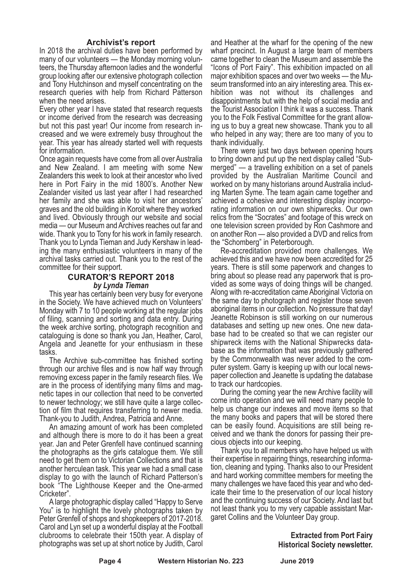#### **Archivist's report**

In 2018 the archival duties have been performed by many of our volunteers — the Monday morning volun- teers, the Thursday afternoon ladies and the wonderful group looking after our extensive photograph collection and Tony Hutchinson and myself concentrating on the research queries with help from Richard Patterson

when the need arises.<br>Every other year I have stated that research requests or income derived from the research was decreasing but not this past year! Our income from research in- creased and we were extremely busy throughout the year. This year has already started well with requests for information.

Once again requests have come from all over Australia and New Zealand. I am meeting with some New Zealanders this week to look at their ancestor who lived here in Port Fairy in the mid 1800's. Another New Zealander visited us last year after I had researched her family and she was able to visit her ancestors' graves and the old building in Koroit where they worked and lived. Obviously through our website and social media — our Museum and Archives reaches out far and wide. Thank you to Tony for his work in family research. Thank you to Lynda Tieman and Judy Kershaw in leading the many enthusiastic volunteers in many of the archival tasks carried out. Thank you to the rest of the committee for their support.

#### **CURATOR'S REPORT 2018** *by Lynda Tieman*

This year has certainly been very busy for everyone in the Society. We have achieved much on Volunteers' Monday with <sup>7</sup> to <sup>10</sup> people working at the regular jobs of filing, scanning and sorting and data entry. During the week archive sorting, photograph recognition and cataloguing is done so thank you Jan, Heather, Carol, Angela and Jeanette for your enthusiasm in these tasks.

The Archive sub-committee has finished sorting through our archive files and is now half way through removing excess paper in the family research files. We are in the process of identifying many films and mag- netic tapes in our collection that need to be converted to newer technology; we still have quite a large collection of film that requires transferring to newer media. Thank-you to Judith, Andrea, Patricia and Anne.

An amazing amount of work has been completed and although there is more to do it has been a great year. Jan and Peter Grenfell have continued scanning the photographs as the girls catalogue them. We still need to get them on to Victorian Collections and that is another herculean task. This year we had a small case display to go with the launch of Richard Patterson's book "The Lighthouse Keeper and the One-armed Cricketer".

A large photographic display called "Happy to Serve You" is to highlight the lovely photographs taken by Peter Grenfell of shops and shopkeepers of 2017-2018. Carol and Lyn set up a wonderful display at the Football clubrooms to celebrate their 150th year. A display of photographs was set up at short notice by Judith, Carol

and Heather at the wharf for the opening of the new wharf precinct. In August a large team of members came together to clean the Museum and assemble the "Icons of Port Fairy". This exhibition impacted on all major exhibition spaces and over two weeks — the Museum transformed into an airy interesting area. This exhibition was not without its challenges and disappointments but with the help of social media and the Tourist Association I think it was a success. Thank you to the Folk Festival Committee for the grant allowing us to buy a great new showcase. Thank you to all who helped in any way; there are too many of you to thank individually.

There were just two days between opening hours to bring down and put up the next display called "Submerged" — a travelling exhibition on a set of panels provided by the Australian Maritime Council and worked on by many historians around Australia including Marten Syme. The team again came together and achieved a cohesive and interesting display incorporating information on our own shipwrecks. Our own relics from the "Socrates" and footage of this wreck on one television screen provided by Ron Cashmore and on another Ron — also provided a DVD and relics from the "Schomberg" in Peterborough.

Re-accreditation provided more challenges. We achieved this and we have now been accredited for 25 years. There is still some paperwork and changes to bring about so please read any paperwork that is provided as some ways of doing things will be changed. Along with re-accreditation came Aboriginal Victoria on the same day to photograph and register those seven aboriginal items in our collection. No pressure that day! Jeanette Robinson is still working on our numerous databases and setting up new ones. One new data- base had to be created so that we can register our shipwreck items with the National Shipwrecks data- base as the information that was previously gathered by the Commonwealth was never added to the computer system. Garry is keeping up with our local newspaper collection and Jeanette is updating the database to track our hardcopies.

During the coming year the new Archive facility will come into operation and we will need many people to help us change our indexes and move items so that the many books and papers that will be stored there can be easily found. Acquisitions are still being received and we thank the donors for passing their precious objects into our keeping.

Thank you to all members who have helped us with their expertise in repairing things, researching informa- tion, cleaning and typing. Thanks also to our President and hard working committee members for meeting the many challenges we have faced this year and who ded- icate their time to the preservation of our local history and the continuing success of our Society. And last but not least thank you to my very capable assistant Mar- garet Collins and the Volunteer Day group.

> **Extracted from Port Fairy Historical Society newsletter.**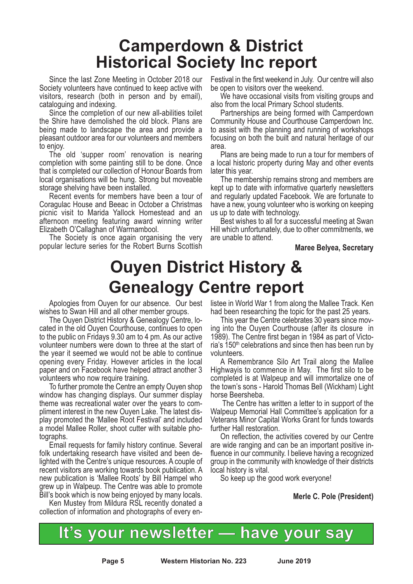## **Camperdown & District Historical Society Inc report**

Since the last Zone Meeting in October 2018 our Society volunteers have continued to keep active with visitors, research (both in person and by email), cataloguing and indexing.

Since the completion of our new all-abilities toilet the Shire have demolished the old block. Plans are being made to landscape the area and provide a pleasant outdoor area for our volunteers and members

to enjoy. The old 'supper room' renovation is nearing completion with some painting still to be done. Once that is completed our collection of Honour Boards from local organisations will be hung. Strong but moveable storage shelving have been installed.

Recent events for members have been a tour of Coragulac House and Beeac in October a Christmas picnic visit to Marida Yallock Homestead and an afternoon meeting featuring award winning writer Elizabeth O'Callaghan of Warrnambool.

The Society is once again organising the very popular lecture series for the Robert Burns Scottish Festival in the first weekend in July. Our centre will also be open to visitors over the weekend.

We have occasional visits from visiting groups and.

also from the local Primary School students. Partnerships are being formed with Camperdown Community House and Courthouse Camperdown Inc. to assist with the planning and running of workshops focusing on both the built and natural heritage of our area.

Plans are being made to run a tour for members of a local historic property during May and other events later this year. The membership remains strong and members are

kept up to date with informative quarterly newsletters and regularly updated Facebook. We are fortunate to have a new, young volunteer who is working on keeping

us up to date with technology. Best wishes to all for <sup>a</sup> successful meeting at Swan Hill which unfortunately, due to other commitments, we are unable to attend.

**Maree Belyea, Secretary**

## **Ouyen District History & Genealogy Centre report**

Apologies from Ouyen for our absence. Our best

wishes to Swan Hill and all other member groups.<br>The Ouyen District History & Genealogy Centre, lo-<br>cated in the old Ouyen Courthouse, continues to open to the public on Fridays 9.30 am to 4 pm. As our active volunteer numbers were down to three at the start of the year it seemed we would not be able to continue opening every Friday. However articles in the local paper and on Facebook have helped attract another 3

volunteers who now require training. To further promote the Centre an empty Ouyen shop window has changing displays. Our summer display theme was recreational water over the years to com- pliment interest in the new Ouyen Lake. The latest dis- play promoted the 'Mallee Root Festival' and included <sup>a</sup> model Mallee Roller, shoot cutter with suitable pho- tographs. Email requests for family history continue. Several

folk undertaking research have visited and been delighted with the Centre's unique resources. A couple of recent visitors are working towards book publication. A new publication is 'Mallee Roots' by Bill Hampel who grew up in Walpeup. The Centre was able to promote Bill's book which is now being enjoyed by many locals.

Ken Mustey from Mildura RSL recently donated a collection of information and photographs of every enlistee in World War 1 from along the Mallee Track. Ken

had been researching the topic for the past <sup>25</sup> years. This year the Centre celebrates <sup>30</sup> years since mov- ing into the Ouyen Courthouse (after its closure in 1989). The Centre first began in 1984 as part of Victo-<br>ria's 150<sup>th</sup> celebrations and since then has been run by volunteers.

A Remembrance Silo Art Trail along the Mallee Highwayis to commence in May. The first silo to be completed is at Walpeup and will immortalize one of the town's sons - Harold Thomas Bell (Wickham) Light horse Beersheba.

The Centre has written a letter to in support of the Walpeup Memorial Hall Committee's application for a Veterans Minor Capital Works Grant for funds towards further Hall restoration.

On reflection, the activities covered by our Centre are wide ranging and can be an important positive influence in our community. I believe having a recognized group in the community with knowledge of their districts local history is vital.

So keep up the good work everyone!

**Merle C. Pole (President)**



**Page 5 Western Historian No. 223 June 2019**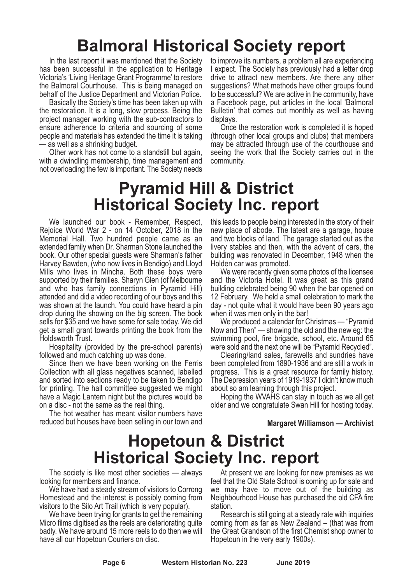## **Balmoral Historical Society report**

In the last report it was mentioned that the Society has been successful in the application to Heritage Victoria's 'Living Heritage Grant Programme' to restore the Balmoral Courthouse. This is being managed on behalf of the Justice Department and Victorian Police.

Basically the Society's time has been taken up with the restoration. It is a long, slow process. Being the project manager working with the sub-contractors to ensure adherence to criteria and sourcing of some people and materials has extended the time it is taking — as well as a shrinking budget.

Other work has not come to a standstill but again, with a dwindling membership, time management and not overloading the few is important. The Society needs

to improve its numbers, a problem all are experiencing I expect. The Society has previously had a letter drop drive to attract new members. Are there any other suggestions? What methods have other groups found to be successful? We are active in the community, have a Facebook page, put articles in the local 'Balmoral Bulletin' that comes out monthly as well as having displays.

Once the restoration work is completed it is hoped (through other local groups and clubs) that members may be attracted through use of the courthouse and seeing the work that the Society carries out in the community.

## **Pyramid Hill & District Historical Society Inc. report**

We launched our book - Remember, Respect, Rejoice World War 2 - on 14 October, 2018 in the Memorial Hall. Two hundred people came as an extended family when Dr. Sharman Stone launched the book. Our other special guests were Sharman's father Harvey Bawden, (who now lives in Bendigo) and Lloyd Mills who lives in Mincha. Both these boys were supported by their families. Sharyn Glen (of Melbourne and who has family connections in Pyramid Hill) attended and did a video recording of our boys and this was shown at the launch. You could have heard a pin drop during the showing on the big screen. The book sells for \$35 and we have some for sale today. We did get a small grant towards printing the book from the Holdsworth Trust.

Hospitality (provided by the pre-school parents) followed and much catching up was done. Since then we have been working on the Ferris

Collection with all glass negatives scanned, labelled and sorted into sections ready to be taken to Bendigo for printing. The hall committee suggested we might have a Magic Lantern night but the pictures would be on a disc - not the same as the real thing.

The hot weather has meant visitor numbers have reduced but houses have been selling in our town and

this leads to people being interested in the story of their new place of abode. The latest are a garage, house and two blocks of land. The garage started out as the livery stables and then, with the advent of cars, the building was renovated in December, 1948 when the Holden car was promoted.

We were recently given some photos of the licensee and the Victoria Hotel. It was great as this grand building celebrated being 90 when the bar opened on 12 February. We held a small celebration to mark the day - not quite what it would have been 90 years ago when it was men only in the bar!

We produced a calendar for Christmas — "Pyramid Now and Then" — showing the old and the new eg: the swimming pool, fire brigade, school, etc. Around 65 were sold and the next one will be "Pyramid Recycled".

Clearing/land sales, farewells and sundries have been completed from 1890-1936 and are still a work in progress. This is <sup>a</sup> great resource for family history. The Depression years of 1919-1937 <sup>I</sup> didn't know much about so am learning through this project. Hoping the WVAHS can stay in touch as we all get

older and we congratulate Swan Hill for hosting today.

#### **Margaret Williamson — Archivist**

## **Hopetoun & District Historical Society Inc. report**

The society is like most other societies — always looking for members and finance.

We have had a steady stream of visitors to Corrong Homestead and the interest is possibly coming from

visitors to the Silo Art Trail (which is very popular). We have been trying for grants to get the remaining Micro films digitised as the reels are deteriorating quite badly. We have around 15 more reels to do then we will have all our Hopetoun Couriers on disc.

At present we are looking for new premises as we feel that the Old State School is coming up for sale and we may have to move out of the building as Neighbourhood House has purchased the old CFA fire

station. Research is still going at <sup>a</sup> steady rate with inquiries coming from as far as New Zealand – (that was from the Great Grandson of the first Chemist shop owner to Hopetoun in the very early 1900s).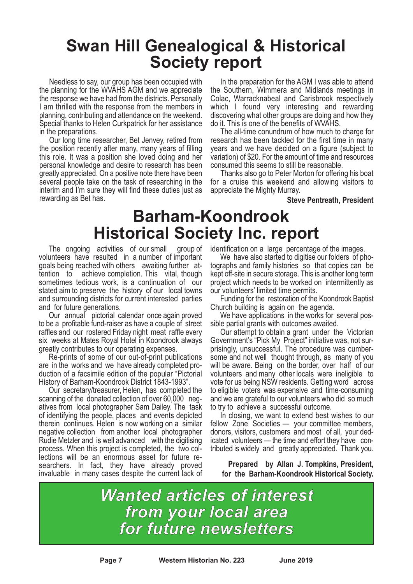## **Swan Hill Genealogical & Historical Society report**

Needless to say, our group has been occupied with the planning for the WVAHS AGM and we appreciate the response we have had from the districts. Personally I am thrilled with the response from the members in planning, contributing and attendance on the weekend. Special thanks to Helen Curkpatrick for her assistance in the preparations.

Our long time researcher, Bet Jenvey, retired from the position recently after many, many years of filling this role. It was a position she loved doing and her personal knowledge and desire to research has been greatly appreciated. On a positive note there have been several people take on the task of researching in the interim and I'm sure they will find these duties just as rewarding as Bet has.

In the preparation for the AGM I was able to attend the Southern, Wimmera and Midlands meetings in Colac, Warracknabeal and Carisbrook respectively which I found very interesting and rewarding discovering what other groups are doing and how they do it. This is one of the benefits of WVAHS.

The all-time conundrum of how much to charge for research has been tackled for the first time in many years and we have decided on a figure (subject to variation) of \$20. For the amount of time and resources consumed this seems to still be reasonable.

Thanks also go to Peter Morton for offering his boat for a cruise this weekend and allowing visitors to appreciate the Mighty Murray.

**Steve Pentreath, President**

## **Barham-Koondrook Historical Society Inc. report**

The ongoing activities of our small group of volunteers have resulted in a number of important goals being reached with others awaiting further at- tention to achieve completion. This vital, though sometimes tedious work, is a continuation of our stated aim to preserve the history of our local towns and surrounding districts for current interested parties

and for future generations. Our annual pictorial calendar once again proved to be a profitable fund-raiser as have a couple of street raffles and our rostered Friday night meat raffle every six weeks at Mates Royal Hotel in Koondrook always

greatly contributes to our operating expenses. Re-prints of some of our out-of-print publications are in the works and we have already completed pro- duction of <sup>a</sup> facsimile edition of the popular "Pictorial

History of Barham-Koondrook District 1843-1993". Our secretary/treasurer, Helen, has completed the scanning of the donated collection of over 60,000 neg- atives from local photographer Sam Dailey. The task of identifying the people, places and events depicted therein continues. Helen is now working on a similar negative collection from another local photographer Rudie Metzler and is well advanced with the digitising process. When this project is completed, the two col- lections will be an enormous asset for future re- searchers. In fact, they have already proved invaluable in many cases despite the current lack of

identification on <sup>a</sup> large percentage of the images. We have also started to digitise our folders of pho- tographs and family histories so that copies can be kept off-site in secure storage. This is another long term project which needs to be worked on intermittently as

our volunteers' limited time permits.<br>Funding for the restoration of the Koondrook Baptist<br>Church building is again on the agenda.

We have applications in the works for several pos-<br>sible partial grants with outcomes awaited.<br>Our attempt to obtain a grant under the Victorian

Government's "Pick My Project" initiative was, not surprisingly, unsuccessful. The procedure was cumber-<br>some and not well thought through, as many of you will be aware. Being on the border, over half of our volunteers and many other locals were ineligible to vote for us being NSW residents. Getting word across to eligible voters was expensive and time-consuming and we are grateful to our volunteers who did so much to try to achieve a successful outcome.

In closing, we want to extend best wishes to our fellow Zone Societies — your committee members, donors, visitors, customers and most of all, your dedicated volunteers — the time and effort they have contributed is widely and greatly appreciated. Thank you.

**Prepared by Allan J. Tompkins, President, for the Barham-Koondrook Historical Society.**

*Wanted articles of interest from your local area for future newsletters*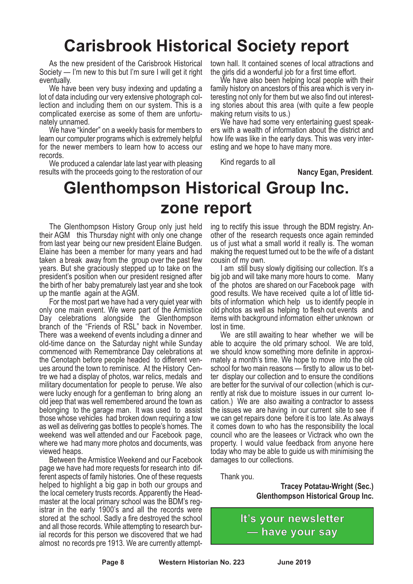## **Carisbrook Historical Society report**

As the new president of the Carisbrook Historical Society — I'm new to this but I'm sure I will get it right eventually.

We have been very busy indexing and updating a lot of data including our very extensive photograph col- lection and including them on our system. This is <sup>a</sup> complicated exercise as some of them are unfortu- nately unnamed. We have "kinder" on <sup>a</sup> weekly basis for members to

learn our computer programs which is extremely helpful for the newer members to learn how to access our records.

We produced a calendar late last year with pleasing results with the proceeds going to the restoration of our town hall. It contained scenes of local attractions and the girls did a wonderful job for a first time effort.

We have also been helping local people with their family history on ancestors of this area which is very interesting not only for them but we also find out interesting stories about this area (with quite a few people making return visits to us.)

We have had some very entertaining quest speakers with a wealth of information about the district and how life was like in the early days. This was very interesting and we hope to have many more.

Kind regards to all

**Nancy Egan, President**.

## **Glenthompson Historical Group Inc. zone report**

The Glenthompson History Group only just held their AGM this Thursday night with only one change from last year being our new president Elaine Budgen. Elaine has been a member for many years and had taken a break away from the group over the past few years. But she graciously stepped up to take on the president's position when our president resigned after the birth of her baby prematurely last year and she took up the mantle again at the AGM.

For the most part we have had a very quiet year with only one main event. We were part of the Armistice Day celebrations alongside the Glenthompson branch of the "Friends of RSL" back in November. There was <sup>a</sup> weekend of events including <sup>a</sup> dinner and old-time dance on the Saturday night while Sunday commenced with Remembrance Day celebrations at the Cenotaph before people headed to different ven-<br>ues around the town to reminisce. At the History Cen-<br>tre we had a display of photos, war relics, medals and military documentation for people to peruse. We also were lucky enough for a gentleman to bring along an old jeep that was well remembered around the town as belonging to the garage man. It was used to assist those whose vehicles had broken down requiring a tow as well as delivering gas bottles to people's homes. The weekend was well attended and our Facebook page, where we had many more photos and documents, was viewed heaps.

Between the Armistice Weekend and our Facebook page we have had more requests for research into different aspects of family histories. One of these requests helped to highlight a big gap in both our groups and the local cemetery trusts records. Apparently the Headmaster at the local primary school was the BDM's registrar in the early 1900's and all the records were stored at the school. Sadly a fire destroyed the school and all those records. While attempting to research bur- ial records for this person we discovered that we had almost no records pre 1913. We are currently attempting to rectify this issue through the BDM registry. An- other of the research requests once again reminded us of just what a small world it really is. The woman making the request turned out to be the wife of a distant

cousin of my own.<br>I am still busy slowly digitising our collection. It's a big job and will take many more hours to come. Many of the photos are shared on our Facebook page with good results. We have received quite <sup>a</sup> lot of little tid- bits of information which help us to identify people in old photos as well as helping to flesh out events and items with background information either unknown or

lost in time. We are still awaiting to hear whether we will be able to acquire the old primary school. We are told, we should know something more definite in approxi- mately <sup>a</sup> month's time. We hope to move into the old school for two main reasons — firstly to allow us to bet-<br>ter display our collection and to ensure the conditions are better for the survival of our collection (which is cur- rently at risk due to moisture issues in our current lo- cation.) We are also awaiting <sup>a</sup> contractor to assess the issues we are having in our current site to see if we can get repairs done before it is too late. As always it comes down to who has the responsibility the local council who are the leasees or Victrack who own the property. I would value feedback from anyone here today who may be able to guide us with minimising the damages to our collections.

Thank you.

**Tracey Potatau-Wright (Sec.) Glenthompson Historical Group Inc.**

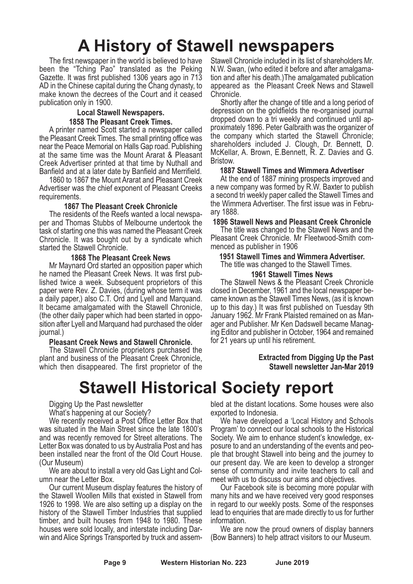# **A History of Stawell newspapers**

The first newspaper in the world is believed to have been the "Tching Pao" translated as the Peking Gazette. It was first published 1306 years ago in 713 AD in the Chinese capital during the Chang dynasty, to make known the decrees of the Court and it ceased publication only in 1900.

## **Local Stawell Newspapers.**

**<sup>1858</sup> The Pleasant Creek Times.** <sup>A</sup> printer named Scott started <sup>a</sup> newspaper called the Pleasant Creek Times. The small printing office was near the Peace Memorial on Halls Gap road. Publishing at the same time was the Mount Ararat & Pleasant Creek Advertiser printed at that time by Nuthall and

Banfield and at <sup>a</sup> later date by Banfield and Merrifield. <sup>1860</sup> to <sup>1867</sup> the Mount Ararat and Pleasant Creek Advertiser was the chief exponent of Pleasant Creeks requirements.

#### **1867 The Pleasant Creek Chronicle**

The residents of the Reefs wanted a local newspaper and Thomas Stubbs of Melbourne undertook the task of starting one this was named the Pleasant Creek Chronicle. It was bought out by a syndicate which started the Stawell Chronicle.

#### **1868 The Pleasant Creek News**

Mr Maynard Ord started an opposition paper which he named the Pleasant Creek News. It was first published twice a week. Subsequent proprietors of this paper were Rev. Z. Davies, (during whose term it was a daily paper,) also C.T. Ord and Lyell and Marquand. It became amalgamated with the Stawell Chronicle, (the other daily paper which had been started in opposition after Lyell and Marquand had purchased the older journal.)

**Pleasant Creek News and Stawell Chronicle.** The Stawell Chronicle proprietors purchased the plant and business of the Pleasant Creek Chronicle, which then disappeared. The first proprietor of the Stawell Chronicle included in its list of shareholders Mr. N.W. Swan, (who edited it before and after amalgama- tion and after his death.)The amalgamated publication appeared as the Pleasant Creek News and Stawell

Chronicle. Shortly after the change of title and <sup>a</sup> long period of depression on the goldfields the re-organised journal dropped down to <sup>a</sup> tri weekly and continued until ap- proximately 1896. Peter Galbraith was the organizer of the company which started the Stawell Chronicle; shareholders included J. Clough, Dr. Bennett, D. McKellar, A. Brown, E.Bennett, R. Z. Davies and G. Bristow.

#### **1887 Stawell Times and Wimmera Advertiser**

At the end of 1887 mining prospects improved and a new company was formed by R.W. Baxter to publish a second tri weekly paper called the Stawell Times and the Wimmera Advertiser. The first issue was in Febru- ary 1888.

**1896 Stawell News and Pleasant Creek Chronicle**

The title was changed to the Stawell News and the Pleasant Creek Chronicle. Mr Fleetwood-Smith com- menced as publisher in <sup>1906</sup>

**<sup>1951</sup> Stawell Times and Wimmera Advertiser.** The title was changed to the Stawell Times.

#### **1961 Stawell Times News**

The Stawell News & the Pleasant Creek Chronicle closed in December, 1961 and the local newspaper became known as the Stawell Times News, (as it is known up to this day.) It was first published on Tuesday 9th January 1962. Mr Frank Plaisted remained on as Manager and Publisher. Mr Ken Dadswell became Managing Editor and publisher in October, 1964 and remained for 21 years up until his retirement.

> **Extracted from Digging Up the Past Stawell newsletter Jan-Mar 2019**

## **Stawell Historical Society report**

Digging Up the Past newsletter

What's happening at our Society?

We recently received a Post Office Letter Box that was situated in the Main Street since the late 1800's and was recently removed for Street alterations. The Letter Box was donated to us by Australia Post and has been installed near the front of the Old Court House. (Our Museum)

We are about to install a very old Gas Light and Col-<br>umn near the Letter Box.<br>Our current Museum display features the history of

the Stawell Woollen Mills that existed in Stawell from 1926 to 1998. We are also setting up a display on the history of the Stawell Timber Industries that supplied timber, and built houses from 1948 to 1980. These houses were sold locally, and interstate including Darwin and Alice Springs Transported by truck and assembled at the distant locations. Some houses were also exported to Indonesia.

We have developed a 'Local History and Schools Program' to connect our local schools to the Historical Society. We aim to enhance student's knowledge, exposure to and an understanding of the events and people that brought Stawell into being and the journey to our present day. We are keen to develop a stronger sense of community and invite teachers to call and

meet with us to discuss our aims and objectives. Our Facebook site is becoming more popular with many hits and we have received very good responses in regard to our weekly posts. Some of the responses lead to enquiries that are made directly to us for further information.

We are now the proud owners of display banners (Bow Banners) to help attract visitors to our Museum.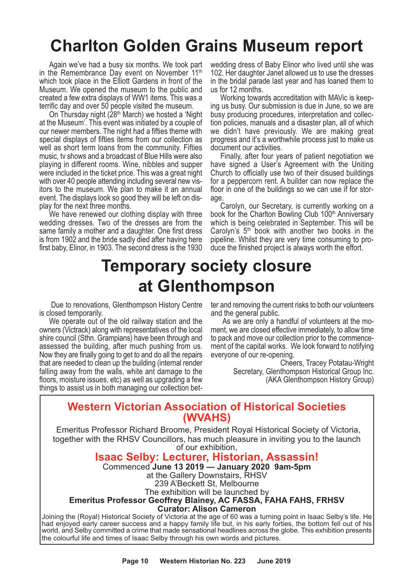## **Charlton Golden Grains Museum report**

Again we've had a busy six months. We took part in the Remembrance Day event on November 11<sup>th</sup> which took place in the Elliott Gardens in front of the Museum. We opened the museum to the public and created a few extra displays of WW1 items. This was a terrific day and over 50 people visited the museum.

On Thursday night (28<sup>th</sup> March) we hosted a 'Night at the Museum'. This event was initiated by a couple of our newer members. The night had a fifties theme with special displays of fifties items from our collection as well as short term loans from the community. Fifties music, tv shows and a broadcast of Blue Hills were also playing in different rooms. Wine, nibbles and supper were included in the ticket price. This was a great night with over 40 people attending including several new visitors to the museum. We plan to make it an annual event. The displays look so good they will be left on display for the next three months.

We have renewed our clothing display with three wedding dresses. Two of the dresses are from the same family a mother and a daughter. One first dress is from 1902 and the bride sadly died after having here first baby, Elinor, in 1903. The second dress is the 1930 wedding dress of Baby Elinor who lived until she was 102. Her daughter Janet allowed us to use the dresses in the bridal parade last year and has loaned them to us for 12 months.

Working towards accreditation with MAVic is keeping us busy. Our submission is due in June, so we are busy producing procedures, interpretation and collection policies, manuals and a disaster plan, all of which we didn't have previously. We are making great progress and it's a worthwhile process just to make us document our activities.

Finally, after four years of patient negotiation we have signed a User's Agreement with the Uniting Church to officially use two of their disused buildings for a peppercorn rent. A builder can now replace the floor in one of the buildings so we can use if for storage.

Carolyn, our Secretary, is currently working on a book for the Charlton Bowling Club 100<sup>th</sup> Anniversary which is being celebrated in September. This will be Carolyn's  $5<sup>th</sup>$  book with another two books in the pipeline. Whilst they are very time consuming to produce the finished project is always worth the effort.

## **Temporary society closure at Glenthompson**

Due to renovations, Glenthompson History Centre is closed temporarily.

We operate out of the old railway station and the owners (Victrack) along with representatives of the local shire council (Sthn. Grampians) have been through and assessed the building, after much pushing from us. Now they are finally going to get to and do all the repairs that are needed to clean up the building (internal render falling away from the walls, white ant damage to the floors, moisture issues, etc) as well as upgrading a few things to assist us in both managing our collection better and removing the current risks to both our volunteers and the general public.

As we are only a handful of volunteers at the moment, we are closed effective immediately, to allow time to pack and move our collection prior to the commencement of the capital works. We look forward to notifying everyone of our re-opening.

> Cheers, Tracey Potatau-Wright Secretary, Glenthompson Historical Group Inc. (AKA Glenthompson History Group)

## **Western Victorian Association of Historical Societies (WVAHS)**

Emeritus Professor Richard Broome, President Royal Historical Society of Victoria, together with the RHSV Councillors, has much pleasure in inviting you to the launch of our exhibition,

## **Isaac Selby: Lecturer, Historian, Assassin!**

Commenced **June 13 2019 — January 2020 9am-5pm**

at the Gallery Downstairs, RHSV

239 A'Beckett St, Melbourne

The exhibition will be launched by

#### **Emeritus Professor Geoffrey Blainey, AC FASSA, FAHA FAHS, FRHSV Curator: Alison Cameron**

Joining the (Royal) Historical Society of Victoria at the age of 60 was a turning point in Isaac Selby's life. He had enjoyed early career success and a happy family life but, in his early forties, the bottom fell out of his world, and Selby committed a crime that made sensational headlines across the globe. This exhibition presents the colourful life and times of Isaac Selby through his own words and pictures.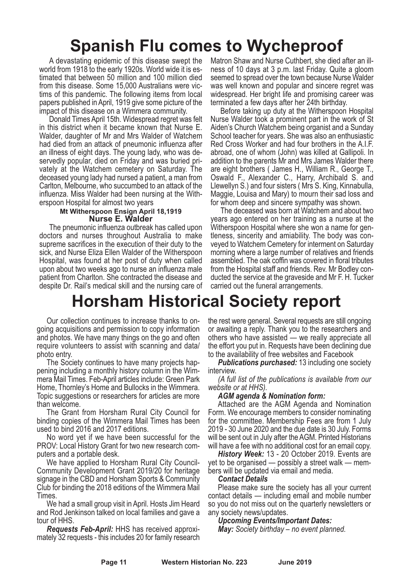## **Spanish Flu comes to Wycheproof**

A devastating epidemic of this disease swept the world from 1918 to the early 1920s. World wide it is estimated that between 50 million and 100 million died from this disease. Some 15,000 Australians were victims of this pandemic. The following items from local papers published in April, 1919 give some picture of the impact of this disease on a Wimmera community.

Donald Times April 15th. Widespread regret was felt in this district when it became known that Nurse E. Walder, daughter of Mr and Mrs Walder of Watchem had died from an attack of pneumonic influenza after an illness of eight days. The young lady, who was deservedly popular, died on Friday and was buried privately at the Watchem cemetery on Saturday. The deceased young lady had nursed a patient, a man from Carlton, Melbourne, who succumbed to an attack of the influenza. Miss Walder had been nursing at the Witherspoon Hospital for almost two years

#### **Mt Witherspoon Ensign April 18,1919 Nurse E. Walder**

The pneumonic influenza outbreak has called upon doctors and nurses throughout Australia to make supreme sacrifices in the execution of their duty to the sick, and Nurse Eliza Ellen Walder of the Witherspoon Hospital, was found at her post of duty when called upon about two weeks ago to nurse an influenza male patient from Charlton. She contracted the disease and despite Dr. Rail's medical skill and the nursing care of Matron Shaw and Nurse Cuthbert, she died after an illness of 10 days at 3 p.m. last Friday. Quite a gloom seemed to spread over the town because Nurse Walder was well known and popular and sincere regret was widespread. Her bright life and promising career was terminated a few days after her 24th birthday.

Before taking up duty at the Witherspoon Hospital Nurse Walder took a prominent part in the work of St Aiden's Church Watchem being organist and a Sunday School teacher for years. She was also an enthusiastic Red Cross Worker and had four brothers in the A.I.F. abroad, one of whom (John) was killed at Gallipoli. In addition to the parents Mr and Mrs James Walder there are eight brothers ( James H., William R., George T., Oswald F., Alexander C., Harry, Archibald S. and Llewellyn S.) and four sisters ( Mrs S. King, Kinnabulla, Maggie, Louisa and Mary) to mourn their sad loss and for whom deep and sincere sympathy was shown.

The deceased was born at Watchem and about two years ago entered on her training as a nurse at the Witherspoon Hospital where she won a name for gentleness, sincerity and amiability. The body was conveyed to Watchem Cemetery for interment on Saturday morning where a large number of relatives and friends assembled. The oak coffin was covered in floral tributes from the Hospital staff and friends. Rev. Mr Bodley conducted the service at the graveside and Mr F. H. Tucker carried out the funeral arrangements.

## **Horsham Historical Society report**

Our collection continues to increase thanks to on- going acquisitions and permission to copy information and photos. We have many things on the go and often require volunteers to assist with scanning and data/

The Society continues to have many projects hap-<br>pening including a monthly history column in the Wim-<br>mera Mail Times. Feb-April articles include: Green Park Home, Thornley's Home and Bullocks in the Wimmera. Topic suggestions or researchers for articles are more

than welcome. The Grant from Horsham Rural City Council for binding copies of the Wimmera Mail Times has been

used to bind <sup>2016</sup> and <sup>2017</sup> editions. No word yet if we have been successful for the PROV: Local History Grant for two new research com- puters and <sup>a</sup> portable desk.

We have applied to Horsham Rural City Council-Community Development Grant 2019/20 for heritage signage in the CBD and Horsham Sports & Community Club for binding the 2018 editions of the Wimmera Mail Times.

We had a small group visit in April. Hosts Jim Heard and Rod Jenkinson talked on local families and gave a

tour of HHS. *Requests Feb-April:* HHS has received approxi- mately <sup>32</sup> requests - this includes <sup>20</sup> for family research

the rest were general. Several requests are still ongoing or awaiting a reply. Thank you to the researchers and others who have assisted — we really appreciate all the effort you put in. Requests have been declining due to the availability of free websites and Facebook

*Publications purchased:* 13 including one society interview.

*(A full list of the publications is available from our website or at HHS). AGM agenda & Nomination form:*

Attached are the AGM Agenda and Nomination Form. We encourage members to consider nominating for the committee. Membership Fees are from 1 July 2019 - 30 June 2020 and the due date is 30 July. Forms will be sent out in July after the AGM. Printed Historians<br>will have a fee with no additional cost for an email copy.

History Week: 13 - 20 October 2019. Events are yet to be organised — possibly a street walk — members will be updated via email and media.

#### *Contact Details*

Please make sure the society has all your current contact details — including email and mobile number so you do not miss out on the quarterly newsletters or any society news/updates.

*Upcoming Events/Important Dates:*

*May: Society birthday – no event planned.*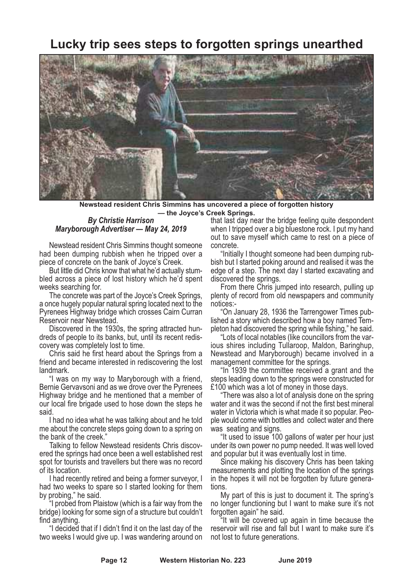## **Lucky trip sees steps to forgotten springs unearthed**



**Newstead resident Chris Simmins has uncovered a piece of forgotten history — the Joyce's Creek Springs.**

#### *By Christie Harrison Maryborough Advertiser — May 24, 2019*

Newstead resident Chris Simmins thought someone had been dumping rubbish when he tripped over a piece of concrete on the bank of Joyce's Creek.

But little did Chris know that what he'd actually stum-<br>bled across a piece of lost history which he'd spent

weeks searching for. The concrete was part of the Joyce's Creek Springs, <sup>a</sup> once hugely popular natural spring located next to the Pyrenees Highway bridge which crosses Cairn Curran

Reservoir near Newstead.<br>Discovered in the 1930s, the spring attracted hun-<br>dreds of people to its banks, but, until its recent redis-<br>covery was completely lost to time.<br>Chris said he first heard about the Springs from a

friend and became interested in rediscovering the lost

landmark. "I was on my way to Maryborough with <sup>a</sup> friend, Bernie Gervavsoni and as we drove over the Pyrenees Highway bridge and he mentioned that a member of our local fire brigade used to hose down the steps he said.

I had no idea what he was talking about and he told me about the concrete steps going down to a spring on the bank of the creek."

Talking to fellow Newstead residents Chris discovered the springs had once been a well established rest spot for tourists and travellers but there was no record of its location.

I had recently retired and being a former surveyor, I had two weeks to spare so I started looking for them by probing," he said.

"I probed from Plaistow (which is a fair way from the bridge) looking for some sign of a structure but couldn't

find anything. "I decided that if <sup>I</sup> didn't find it on the last day of the two weeks I would give up. I was wandering around on

that last day near the bridge feeling quite despondent when I tripped over a big bluestone rock. I put my hand out to save myself which came to rest on a piece of

concrete. "Initially <sup>I</sup> thought someone had been dumping rub- bish but <sup>I</sup> started poking around and realised it was the edge of a step. The next day I started excavating and

From there Chris jumped into research, pulling up plenty of record from old newspapers and community

notices:-<br>
"On January 28, 1936 the Tarrengower Times pub-<br>
lished a story which described how a boy named Tem-<br>
pleton had discovered the spring while fishing," he said.<br>
"Lots of local notables (like councillors from the

"In 1939 the committee received a grant and the steps leading down to the springs were constructed for

£100 which was <sup>a</sup> lot of money in those days. "There was also <sup>a</sup> lot of analysis done on the spring water and it was the second if not the first best mineral water in Victoria which is what made it so popular. Peo-<br>ple would come with bottles and collect water and there<br>was seating and signs.

"It used to issue 100 gallons of water per hour just under its own power no pump needed. It was well loved and popular but it was eventually lost in time.

Since making his discovery Chris has been taking measurements and plotting the location of the springs in the hopes it will not be forgotten by future generations.

My part of this is just to document it. The spring's no longer functioning but I want to make sure it's not forgotten again" he said.

"It will be covered up again in time because the reservoir will rise and fall but I want to make sure it's not lost to future generations.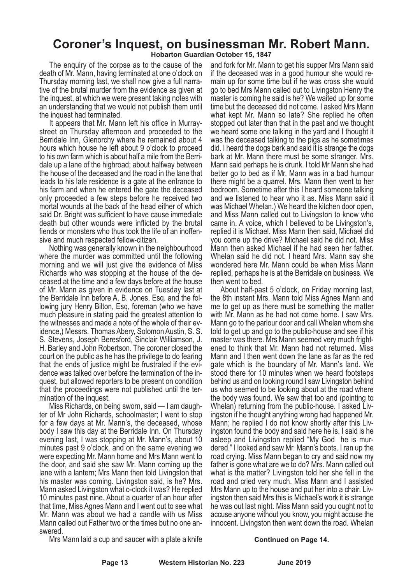## **Coroner's Inquest, on businessman Mr. Robert Mann.**

**Hobarton Guardian October 15, 1847**

The enquiry of the corpse as to the cause of the death of Mr. Mann, having terminated at one o'clock on Thursday morning last, we shall now give a full narrative of the brutal murder from the evidence as given at the inquest, at which we were present taking notes with an understanding that we would not publish them until

the inquest had terminated.<br>It appears that Mr. Mann left his office in Murray-<br>street on Thursday afternoon and proceeded to the Berridale Inn, Glenorchy where he remained about 4 hours which house he left about 9 o'clock to proceed to his own farm which is about half a mile from the Berridale up a lane of the highroad; about halfway between the house of the deceased and the road in the lane that leads to his late residence is a gate at the entrance to his farm and when he entered the gate the deceased only proceeded a few steps before he received two mortal wounds at the back of the head either of which said Dr. Bright was sufficient to have cause immediate death but other wounds were inflicted by the brutal fiends or monsters who thus took the life of an inoffen-<br>sive and much respected fellow-citizen.<br>Nothing was generally known in the neighbourhood

where the murder was committed until the following morning and we will just give the evidence of Miss Richards who was stopping at the house of the de- ceased at the time and <sup>a</sup> few days before at the house of Mr. Mann as given in evidence on Tuesday last at the Berridale Inn before A. B. Jones, Esq. and the fol- lowing jury Henry Bilton, Esq, foreman (who we have much pleasure in stating paid the greatest attention to the witnesses and made a note of the whole of their evidence,) Messrs. Thomas Abery, Solomon Austin, S. S. S. Stevens, Joseph Beresford, Sinclair Williamson, J. H. Barley and John Robertson. The coroner closed the court on the public as he has the privilege to do fearing that the ends of justice might be frustrated if the evidence was talked over before the termination of the inquest, but allowed reporters to be present on condition that the proceedings were not published until the termination of the inquest.

Miss Richards, on being sworn, said — I am daughter of Mr John Richards, schoolmaster; I went to stop for a few days at Mr. Mann's, the deceased, whose body I saw this day at the Berridale Inn. On Thursday evening last, I was stopping at Mr. Mann's, about 10 minutes past 9 o'clock, and on the same evening we were expecting Mr. Mann home and Mrs Mann went to the door, and said she saw Mr. Mann coming up the lane with a lantern; Mrs Mann then told Livingston that his master was coming. Livingston said, is he? Mrs. Mann asked Livingston what o-clock it was? He replied 10 minutes past nine. About a quarter of an hour after that time, Miss Agnes Mann and I went out to see what Mr. Mann was about we had a candle with us Miss Mann called out Father two or the times but no one answered.

and fork for Mr. Mann to get his supper Mrs Mann said main up for some time but if he was cross she would go to bed Mrs Mann called out to Livingston Henry the master is coming he said is he? We waited up for some time but the deceased did not come. I asked Mrs Mann what kept Mr. Mann so late? She replied he often stopped out later than that in the past and we thought we heard some one talking in the yard and I thought it was the deceased talking to the pigs as he sometimes did. I heard the dogs bark and said it is strange the dogs<br>bark at Mr. Mann there must be some stranger. Mrs. Mann said perhaps he is drunk. I told Mr Mann she had better go to bed as if Mr. Mann was in a bad humour there might be a quarrel. Mrs. Mann then went to her bedroom. Sometime after this I heard someone talking and we listened to hear who it as. Miss Mann said it and Miss Mann called out to Livingston to know who came in. <sup>A</sup> voice, which <sup>I</sup> believed to be Livingston's, replied it is Michael. Miss Mann then said, Michael did you come up the drive? Michael said he did not. Miss Mann then asked Michael if he had seen her father. Whelan said he did not. <sup>I</sup> heard Mrs. Mann say she wondered here Mr. Mann could be when Miss Mann replied, perhaps he is at the Berridale on business. We

then went to bed. About half-past <sup>5</sup> o'clock, on Friday morning last, the 8th instant Mrs. Mann told Miss Agnes Mann and me to get up as there must be something the matter with Mr. Mann as he had not come home. <sup>I</sup> saw Mrs. Mann go to the parlour door and call Whelan whom she told to get up and go to the public-house and see if his master was there. Mrs Mann seemed very much frightened to think that Mr. Mann had not returned. Miss Mann and I then went down the lane as far as the red gate which is the boundary of Mr. Mann's land. We stood there for 10 minutes when we heard footsteps behind us and on looking round I saw Livingston behind us who seemed to be looking about at the road where the body was found. We saw that too and (pointing to Whelan) returning from the public-house. I asked Livingston if he thought anything wrong had happened Mr. Mann; he replied I do not know shortly after this Livingston found the body and said here he is. I said is he asleep and Livingston replied "My God he is murdered." I looked and saw Mr. Mann's boots. I ran up the road crying. Miss Mann began to cry and said now my father is gone what are we to do? Mrs. Mann called out what is the matter? Livingston told her she fell in the road and cried very much. Miss Mann and I assisted Mrs Mann up to the house and put her into <sup>a</sup> chair. Liv- ingston then said Mrs this is Michael's work it is strange he was out last night. Miss Mann said you ought not to accuse anyone without you know, you might accuse the innocent. Livingston then went down the road. Whelan

Mrs Mann laid a cup and saucer with a plate a knife

#### **Continued on Page 14.**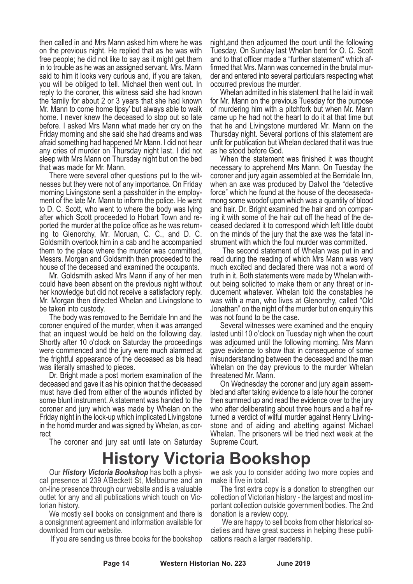then called in and Mrs Mann asked him where he was on the previous night. He replied that as he was with free people; he did not like to say as it might get them in to trouble as he was an assigned servant. Mrs. Mann said to him it looks very curious and, if you are taken, you will be obliged to tell. Michael then went out. In reply to the coroner, this witness said she had known the family for about 2 or 3 years that she had known Mr. Mann to come home tipsy' but always able to walk home. I never knew the deceased to stop out so late before. I asked Mrs Mann what made her cry on the Friday morning and she said she had dreams and was afraid something had happened Mr Mann. I did not hear any cries of murder on Thursday night last. I did not sleep with Mrs Mann on Thursday night but on the bed that was made for Mr. Mann.

There were several other questions put to the witnesses but they were not of any importance. On Friday morning Livingstone sent a passholder in the employment of the late Mr. Mann to inform the police. He went to D. C. Scott, who went to where the body was lying after which Scott proceeded to Hobart Town and reported the murder at the police office as he was returning to Glenorchy, Mr. Moruan, C. C., and D. C. Goldsmith overtook him in a cab and he accompanied them to the place where the murder was committed, Messrs. Morgan and Goldsmith then proceeded to the house of the deceased and examined the occupants.

Mr. Goldsmith asked Mrs Mann if any of her men could have been absent on the previous night without her knowledge but did not receive a satisfactory reply. Mr. Morgan then directed Whelan and Livingstone to be taken into custody.

The body was removed to the Berridale Inn and the coroner enquired of the murder, when it was arranged that an inquest would be held on the following day. Shortly after 10 o'clock on Saturday the proceedings were commenced and the jury were much alarmed at the frightful appearance of the deceased as bis head was literally smashed to pieces.

Dr. Bright made a post mortem examination of the deceased and gave it as his opinion that the deceased must have died from either of the wounds inflicted by some blunt instrument. A statement was handed to the coroner and jury which was made by Whelan on the Friday night in the lock-up which implicated Livingstone in the horrid murder and was signed by Whelan, as cor- rect

The coroner and jury sat until late on Saturday

night,and then adjourned the court until the following Tuesday. On Sunday last Whelan bent for O. C. Scott and to that officer made a "further statement" which affirmed that Mrs. Mann was concerned in the brutal murder and entered into several particulars respecting what occurred previous the murder.

Whelan admitted in his statement that he laid in wait for Mr. Mann on the previous Tuesday for the purpose of murdering him with a pitchfork but when Mr. Mann came up he had not the heart to do it at that time but that he and Livingstone murdered Mr. Mann on the Thursday night. Several portions of this statement are unfit for publication but Whelan declared that it was true as he stood before God.

When the statement was finished it was thought necessary to apprehend Mrs Mann. On Tuesday the coroner and jury again assembled at the Berridale Inn, when an axe was produced by Dalvol the "detective force" which he found at the house of the deceasedamong some woodof upon which was a quantity of blood and hair. Dr. Bright examined the hair and on comparing it with some of the hair cut off the head of the deceased declared it to correspond which left little doubt on the minds of the jury that the axe was the fatal instrument with which the foul murder was committed.

The second statement of Whelan was put in and read during the reading of which Mrs Mann was very much excited and declared there was not a word of truth in it. Both statements were made by Whelan without being solicited to make them or any threat or inducement whatever. Whelan told the constables he was with a man, who lives at Glenorchy, called "Old Jonathan" on the night of the murder but on enquiry this

was not found to be the case.<br>Several witnesses were examined and the enquiry lasted until 10 o'clock on Tuesday nigh when the court was adjourned until the following morning. Mrs Mann gave evidence to show that in consequence of some misunderstanding between the deceased and the man Whelan on the day previous to the murder Whelan threatened Mr. Mann.

On Wednesday the coroner and jury again assembled and after taking evidence to a late hour the coroner then summed up and read the evidence over to the jury who after deliberating about three hours and a half returned a verdict of wilful murder against Henry Livingstone and of aiding and abetting against Michael Whelan. The prisoners will be tried next week at the Supreme Court.

## **History Victoria Bookshop**

Our *History Victoria Bookshop* has both a physical presence at 239 A'Beckett St, Melbourne and an on-line presence through our website and is a valuable outlet for any and all publications which touch on Victorian history.

We mostly sell books on consignment and there is a consignment agreement and information available for download from our website.

If you are sending us three books for the bookshop

we ask you to consider adding two more copies and make it five in total.

The first extra copy is a donation to strengthen our collection of Victorian history - the largest and most important collection outside government bodies. The 2nd donation is a review copy.

We are happy to sell books from other historical societies and have great success in helping these publications reach a larger readership.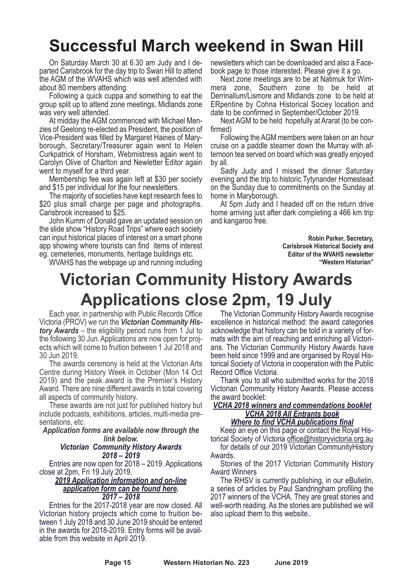# **Successful March weekend in Swan Hill**

On Saturday March 30 at 6.30 am Judy and I departed Carisbrook for the day trip to Swan Hill to attend the AGM of the WVAHS which was well attended with about 80 members attending.

Following a quick cuppa and something to eat the group split up to attend zone meetings, Midlands zone was very well attended.

At midday the AGM commenced with Michael Menzies of Geelong re-elected as President, the position of Vice-President was filled by Margaret Haines of Maryborough, Secretary/Treasurer again went to Helen Curkpatrick of Horsham, Webmistress again went to Carolyn Olive of Charlton and Newletter Editor again went to myself for a third year.

Membership fee was again left at \$30 per society and \$15 per individual for the four newsletters.

The majority of societies have kept research fees to \$20 plus small charge per page and photographs. Carisbrook increased to \$25.

John Kumm of Donald gave an updated session on the slide show "History Road Trips" where each society can input historical places of interest on a smart phone app showing where tourists can find items of interest eg. cemeteries, monuments, heritage buildings etc.

WVAHS has the webpage up and running including

newsletters which can be downloaded and also a Facebook page to those interested. Please give it a go.

Next zone meetings are to be at Natimuk for Wimmera zone, Southern zone to be held at Derrinallum/Lismore and Midlands zone to be held at ERpentine by Cohna Historical Sociey location and date to be confirmed in September/October 2019.

Next AGM to be held hopefully at Ararat (to be confirmed)

Following the AGM members were taken on an hour cruise on a paddle steamer down the Murray with afternoon tea served on board which was greatly enjoyed by all.

Sadly Judy and I missed the dinner Saturday evening and the trip to historic Tytynander Homestead on the Sunday due to commitments on the Sunday at home in Maryborough.

At 5pm Judy and I headed off on the return drive home arriving just after dark completing a 466 km trip and kangaroo free.

> **Robin Parker, Secretary, Carisbrook Historical Society and Editor of the WVAHS newsletter "Western Historian"**

## **Victorian Community History Awards Applications close 2pm, 19 July**

Each year, in partnership with Public Records Office Victoria (PROV) we run the **Victorian Community His***tory Awards* – the eligibility period runs from 1 Jul to the following 30 Jun. Applications are now open for projects which will come to fruition between 1 Jul 2018 and 30 Jun 2019.

The awards ceremony is held at the Victorian Arts Centre during History Week in October (Mon 14 Oct 2019) and the peak award is the Premier's History Award. There are nine different awards in total covering all aspects of community history.

These awards are not just for published history but include podcasts, exhibitions, articles, multi-media presentations, etc.

*Application forms are available now through the link below.*

#### *Victorian Community History Awards 2018 – 2019*

Entries are now open for 2018 – 2019. Applications close at 2pm, Fri 19 July 2019.

*2019 Application information and on-line application form can be found here. 2017 – 2018*

Entries for the 2017-2018 year are now closed. All Victorian history projects which come to fruition between 1 July 2018 and 30 June 2019 should be entered in the awards for 2018-2019. Entry forms will be available from this website in April 2019.

The Victorian Community History Awards recognise excellence in historical method: the award categories acknowledge that history can be told in a variety of formats with the aim of reaching and enriching all Victorians. The Victorian Community History Awards have been held since 1999 and are organised by Royal Historical Society of Victoria in cooperation with the Public Record Office Victoria.

Thank you to all who submitted works for the 2018 Victorian Community History Awards. Please access the award booklet:

#### *VCHA 2018 winners and commendations booklet VCHA 2018 All Entrants book Where to find VCHA publications final*

Keep an eye on this page or contact the Royal Historical Society of Victoria office@historyvictoria.org.au

for details of our 2019 Victorian CommunityHistory

Awards. Stories of the <sup>2017</sup> Victorian Community History Award Winners

The RHSV is currently publishing, in our eBulletin, a series of articles by Paul Sandringham profiling the 2017 winners of the VCHA. They are great stories and well-worth reading. As the stories are published we will also upload them to this website..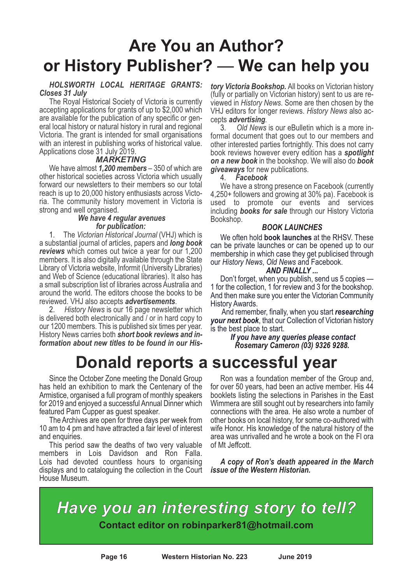# **Are You an Author? or History Publisher?** — **We can help you**

#### *HOLSWORTH LOCAL HERITAGE GRANTS: Closes 31 July*

The Royal Historical Society of Victoria is currently accepting applications for grants of up to \$2,000 which are available for the publication of any specific or general local history or natural history in rural and regional Victoria. The grant is intended for small organisations with an interest in publishing works of historical value. Applications close 31 July 2019.

#### *MARKETING*

We have almost *1,200 members* – 350 of which are other historical societies across Victoria which usually forward our newsletters to their members so our total reach is up to 20,000 history enthusiasts across Victoria. The community history movement in Victoria is strong and well organised.

#### *We have 4 regular avenues for publication:*

1. The *Victorian Historical Journal* (VHJ) which is a substantial journal of articles, papers and *long book reviews* which comes out twice a year for our 1,200 members. It is also digitally available through the State Library of Victoria website, Informit (University Libraries) and Web of Science (educational libraries). It also has a small subscription list of libraries across Australia and around the world. The editors choose the books to be reviewed. VHJ also accepts *advertisements*.

2. *History News* is our 16 page newsletter which is delivered both electronically and / or in hard copy to our 1200 members. This is published six times per year. History News carries both *short book reviews and information about new titles to be found in our His-*

## **Donald reports a successful year**

Since the October Zone meeting the Donald Group has held an exhibition to mark the Centenary of the Armistice, organised a full program of monthly speakers for 2019 and enjoyed a successful Annual Dinner which

featured Pam Cupper as guest speaker. The Archives are open for three days per week from 10 am to 4 pm and have attracted a fair level of interest and enquiries. This period saw the deaths of two very valuable

members in Lois Davidson and Ron Falla. Lois had devoted countless hours to organising displays and to cataloguing the collection in the Court House Museum.

*tory Victoria Bookshop.* All books on Victorian history (fully or partially on Victorian history) sent to us are re- viewed in *History News*. Some are then chosen by the VHJ editors for longer reviews. *History News* also accepts *advertising.*

3. *Old News* is our eBulletin which is a more informal document that goes out to our members and other interested parties fortnightly. This does not carry book reviews however every edition has a *spotlight on a new book* in the bookshop. We will also do *book giveaways* for new publications.

#### 4. *Facebook*

We have a strong presence on Facebook (currently 4,250+ followers and growing at 30% pa). Facebook is used to promote our events and services including *books for sale* through our History Victoria Bookshop.

#### *BOOK LAUNCHES*

We often hold **book launches** at the RHSV. These can be private launches or can be opened up to our membership in which case they get publicised through our *History News*, *Old News* and Facebook.

#### *AND FINALLY ...*

Don't forget, when you publish, send us 5 copies — 1 for the collection, 1 for review and 3 for the bookshop. And then make sure you enter the Victorian Community History Awards.

And remember, finally, when you start *researching your next book*, that our Collection of Victorian history is the best place to start.

*If you have any queries please contact Rosemary Cameron (03) 9326 9288.*

Ron was <sup>a</sup> foundation member of the Group and, for over <sup>50</sup> years, had been an active member. His <sup>44</sup> booklets listing the selections in Parishes in the East Wimmera are still sought out by researchers into family connections with the area. He also wrote a number of other books on local history, for some co-authored with wife Honor. His knowledge of the natural history of the area was unrivalled and he wrote a book on the Fl ora of Mt Jeffcott.

*A copy of Ron's death appeared in the March issue of the Western Historian.*

*Have you an interesting story to tell?* **Contact editor on robinparker81@hotmail.com**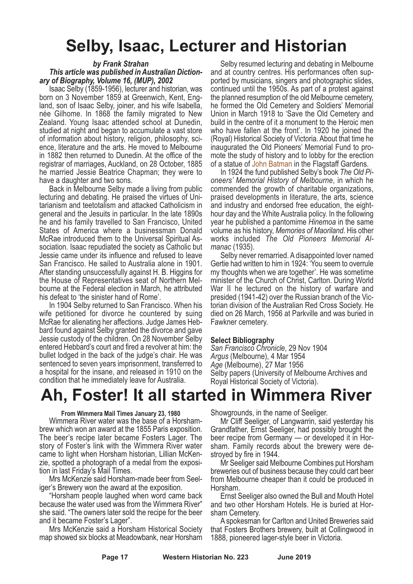## **Selby, Isaac, Lecturer and Historian**

#### *by Frank Strahan*

#### *This article was published in Australian Dictionary of Biography, Volume 16, (MUP), 2002*

Isaac Selby (1859-1956), lecturer and historian, was born on 3 November 1859 at Greenwich, Kent, England, son of Isaac Selby, joiner, and his wife Isabella, née Gilhome. In 1868 the family migrated to New Zealand. Young Isaac attended school at Dunedin, studied at night and began to accumulate a vast store of information about history, religion, philosophy, science, literature and the arts. He moved to Melbourne in 1882 then returned to Dunedin. At the office of the registrar of marriages, Auckland, on 28 October, 1885 he married Jessie Beatrice Chapman; they were to have a daughter and two sons.

Back in Melbourne Selby made a living from public lecturing and debating. He praised the virtues of Unitarianism and teetotalism and attacked Catholicism in general and the Jesuits in particular. In the late 1890s he and his family travelled to San Francisco, United States of America where a businessman Donald McRae introduced them to the Universal Spiritual Association. Isaac repudiated the society as Catholic but Jessie came under its influence and refused to leave San Francisco. He sailed to Australia alone in 1901. After standing unsuccessfully against H. B. Higgins for the House of Representatives seat of Northern Mel- bourne at the Federal election in March, he attributed

his defeat to 'the sinister hand of Rome'. In <sup>1904</sup> Selby returned to San Francisco. When his wife petitioned for divorce he countered by suing McRae for alienating her affections. Judge James Heb- bard found against Selby granted the divorce and gave Jessie custody of the children. On 28 November Selby entered Hebbard's court and fired a revolver at him: the bullet lodged in the back of the judge's chair. He was sentenced to seven years imprisonment, transferred to a hospital for the insane, and released in 1910 on the condition that he immediately leave for Australia.

Selby resumed lecturing and debating in Melbourne and at country centres. His performances often supported by musicians, singers and photographic slides, continued until the 1950s. As part of a protest against the planned resumption of the old Melbourne cemetery, he formed the Old Cemetery and Soldiers' Memorial Union in March 1918 to 'Save the Old Cemetery and build in the centre of it a monument to the Heroic men who have fallen at the front'. In 1920 he joined the (Royal) Historical Society of Victoria. About that time he inaugurated the Old Pioneers' Memorial Fund to promote the study of history and to lobby for the erection of a statue of John Batman in the Flagstaff Gardens.

In 1924 the fund published Selby's book *The Old Pioneers' Memorial History of Melbourne*, in which he commended the growth of charitable organizations, praised developments in literature, the arts, science and industry and endorsed free education, the eighthour day and the White Australia policy. In the following year he published a pantomime *Hinemoa* in the same volume as his history, *Memories of Maoriland*. His other works included *The Old Pioneers Memorial Al- manac* (1935). Selby never remarried. <sup>A</sup> disappointed lover named

Gertie had written to him in 1924: 'You seem to overrule my thoughts when we are together'. He was sometime minister of the Church of Christ, Carlton. During World War II he lectured on the history of warfare and presided (1941-42) over the Russian branch of the Vic- torian division of the Australian Red Cross Society. He died on 26 March, 1956 at Parkville and was buried in Fawkner cemetery.

#### **Select Bibliography**

*San Francisco Chronicle*, 29 Nov 1904 *Argus* (Melbourne), 4 Mar 1954 *Age* (Melbourne), 27 Mar 1956 Selby papers (University of Melbourne Archives and Royal Historical Society of Victoria).

## **Ah, Foster! It all started in Wimmera River**

**From Wimmera Mail Times January 23, 1980** brew which won an award at the 1855 Paris exposition.<br>The beer's recipe later became Fosters Lager. The story of Foster's link with the Wimmera River water came to light when Horsham historian, Lillian McKen-<br>zie, spotted a photograph of a medal from the exposi-<br>tion in last Friday's Mail Times.<br>Mrs McKenzie said Horsham-made beer from Seel-<br>iger's Brewery won the award at th

because the water used was from the Wimmera River" she said. "The owners later sold the recipe for the beer and it became Foster's Lager".

Mrs McKenzie said a Horsham Historical Society map showed six blocks at Meadowbank, near Horsham

Showgrounds, in the name of Seeliger. Mr Cliff Seeliger, of Langwarrin, said yesterday his Grandfather, Ernst Seeliger, had possibly brought the sham. Family records about the brewery were de-<br>stroyed by fire in 1944.

Mr Seeliger said Melbourne Combines put Horsham breweries out of business because they could cart beer from Melbourne cheaper than it could be produced in Horsham.

Ernst Seeliger also owned the Bull and Mouth Hotel and two other Horsham Hotels. He is buried at Horsham Cemetery.

A spokesman for Carlton and United Breweries said that Fosters Brothers brewery, built at Collingwood in 1888, pioneered lager-style beer in Victoria.